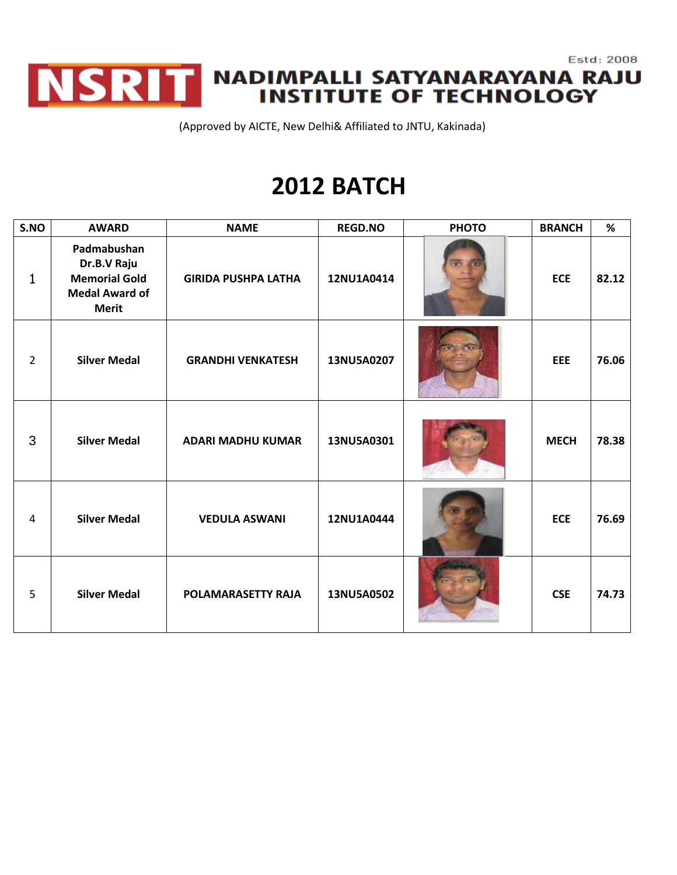

(Approved by AICTE, New Delhi& Affiliated to JNTU, Kakinada)

| S.NO           | <b>AWARD</b>                                                                                | <b>NAME</b>                | <b>REGD.NO</b> | <b>PHOTO</b> | <b>BRANCH</b> | %     |
|----------------|---------------------------------------------------------------------------------------------|----------------------------|----------------|--------------|---------------|-------|
| $\mathbf{1}$   | Padmabushan<br>Dr.B.V Raju<br><b>Memorial Gold</b><br><b>Medal Award of</b><br><b>Merit</b> | <b>GIRIDA PUSHPA LATHA</b> | 12NU1A0414     |              | <b>ECE</b>    | 82.12 |
| $\overline{2}$ | <b>Silver Medal</b>                                                                         | <b>GRANDHI VENKATESH</b>   | 13NU5A0207     |              | <b>EEE</b>    | 76.06 |
| 3              | <b>Silver Medal</b>                                                                         | <b>ADARI MADHU KUMAR</b>   | 13NU5A0301     |              | <b>MECH</b>   | 78.38 |
| $\overline{4}$ | <b>Silver Medal</b>                                                                         | <b>VEDULA ASWANI</b>       | 12NU1A0444     |              | <b>ECE</b>    | 76.69 |
| 5              | <b>Silver Medal</b>                                                                         | POLAMARASETTY RAJA         | 13NU5A0502     |              | <b>CSE</b>    | 74.73 |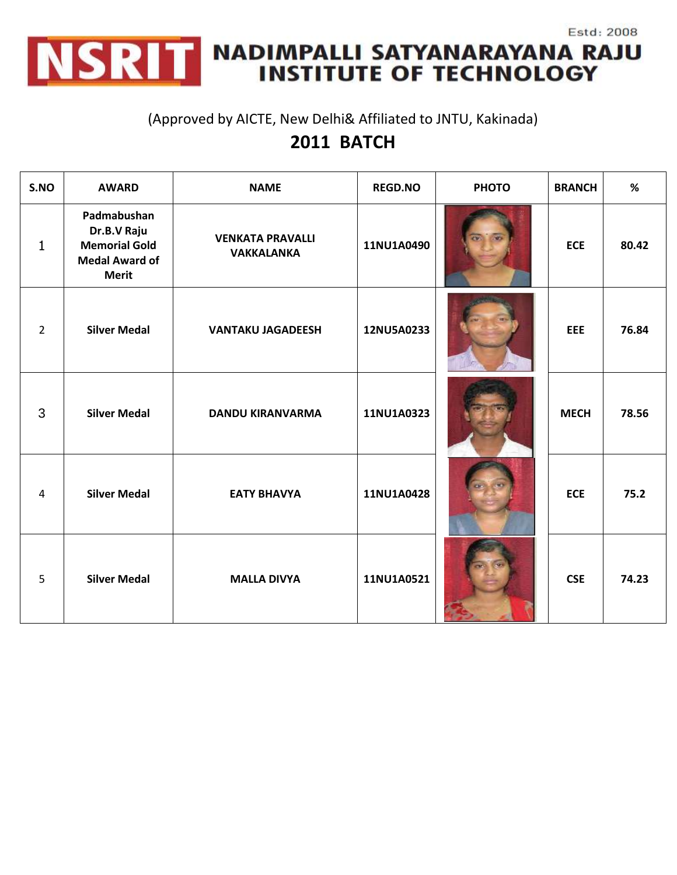

NSRIT NADIMPALLI SATYANARAYANA RAJU

Estd: 2008

#### (Approved by AICTE, New Delhi& Affiliated to JNTU, Kakinada)

| S.NO           | <b>AWARD</b>                                                                                | <b>NAME</b>                                  | <b>REGD.NO</b><br><b>PHOTO</b> |  | <b>BRANCH</b> | $\%$  |
|----------------|---------------------------------------------------------------------------------------------|----------------------------------------------|--------------------------------|--|---------------|-------|
| $\mathbf{1}$   | Padmabushan<br>Dr.B.V Raju<br><b>Memorial Gold</b><br><b>Medal Award of</b><br><b>Merit</b> | <b>VENKATA PRAVALLI</b><br><b>VAKKALANKA</b> | 11NU1A0490                     |  | <b>ECE</b>    | 80.42 |
| $\overline{2}$ | <b>Silver Medal</b>                                                                         | <b>VANTAKU JAGADEESH</b>                     | 12NU5A0233                     |  | <b>EEE</b>    | 76.84 |
| 3              | <b>Silver Medal</b>                                                                         | <b>DANDU KIRANVARMA</b>                      | 11NU1A0323                     |  | <b>MECH</b>   | 78.56 |
| 4              | <b>Silver Medal</b>                                                                         | <b>EATY BHAVYA</b>                           | 11NU1A0428                     |  | <b>ECE</b>    | 75.2  |
| 5              | <b>Silver Medal</b>                                                                         | <b>MALLA DIVYA</b>                           | 11NU1A0521                     |  | <b>CSE</b>    | 74.23 |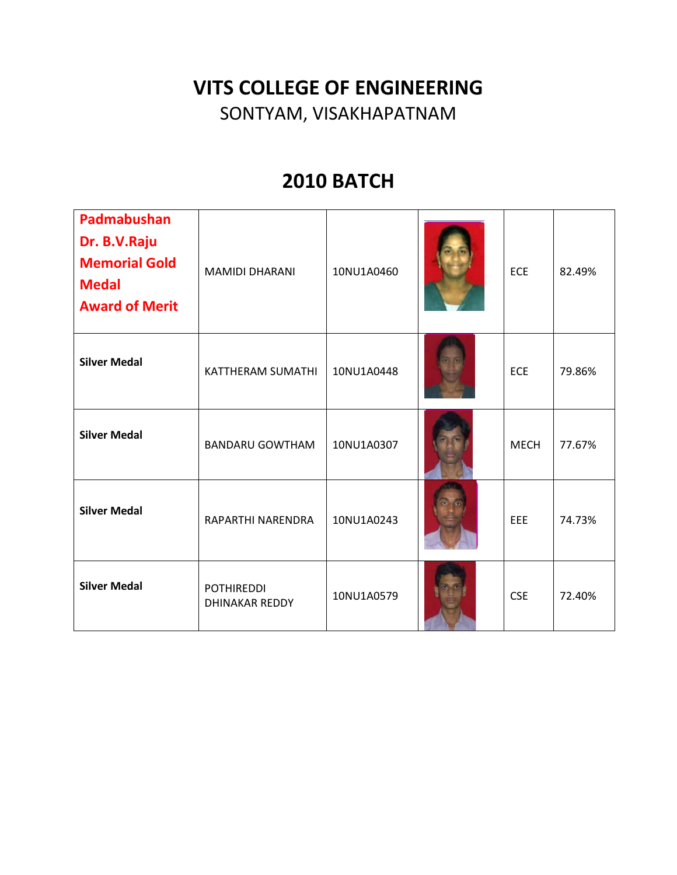### VITS COLLEGE OF ENGINEERING

SONTYAM, VISAKHAPATNAM

| Padmabushan<br>Dr. B.V.Raju<br><b>Memorial Gold</b><br><b>Medal</b><br><b>Award of Merit</b> | <b>MAMIDI DHARANI</b>                      | 10NU1A0460 | ECE         | 82.49% |
|----------------------------------------------------------------------------------------------|--------------------------------------------|------------|-------------|--------|
| <b>Silver Medal</b>                                                                          | KATTHERAM SUMATHI                          | 10NU1A0448 | ECE         | 79.86% |
| <b>Silver Medal</b>                                                                          | <b>BANDARU GOWTHAM</b>                     | 10NU1A0307 | <b>MECH</b> | 77.67% |
| <b>Silver Medal</b>                                                                          | RAPARTHI NARENDRA                          | 10NU1A0243 | EEE         | 74.73% |
| <b>Silver Medal</b>                                                                          | <b>POTHIREDDI</b><br><b>DHINAKAR REDDY</b> | 10NU1A0579 | <b>CSE</b>  | 72.40% |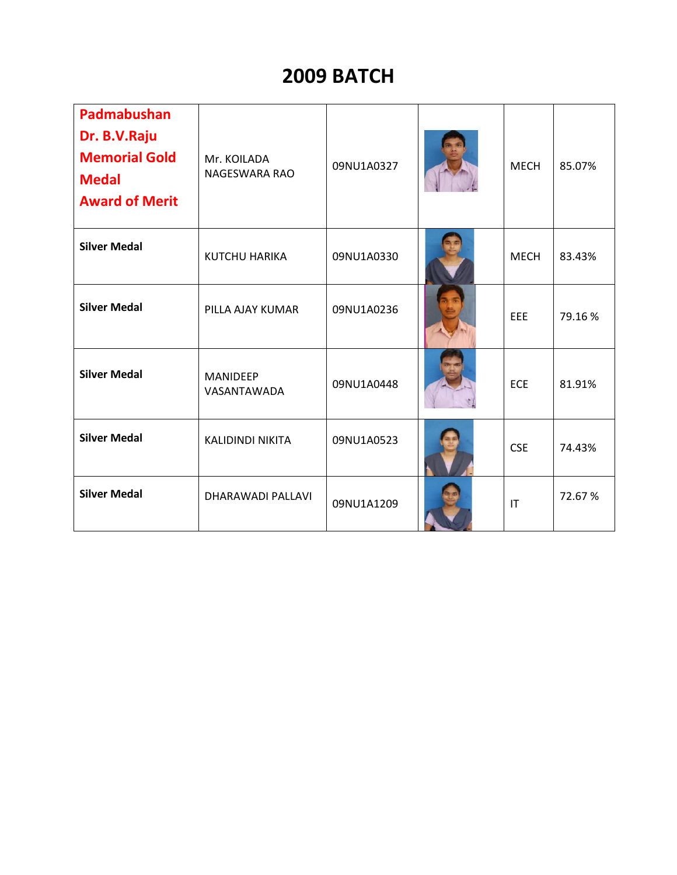| Padmabushan<br>Dr. B.V.Raju<br><b>Memorial Gold</b><br><b>Medal</b><br><b>Award of Merit</b> | Mr. KOILADA<br>NAGESWARA RAO   | 09NU1A0327 | <b>MECH</b> | 85.07% |
|----------------------------------------------------------------------------------------------|--------------------------------|------------|-------------|--------|
| <b>Silver Medal</b>                                                                          | <b>KUTCHU HARIKA</b>           | 09NU1A0330 | <b>MECH</b> | 83.43% |
| <b>Silver Medal</b>                                                                          | PILLA AJAY KUMAR               | 09NU1A0236 | EEE         | 79.16% |
| <b>Silver Medal</b>                                                                          | <b>MANIDEEP</b><br>VASANTAWADA | 09NU1A0448 | ECE         | 81.91% |
| <b>Silver Medal</b>                                                                          | <b>KALIDINDI NIKITA</b>        | 09NU1A0523 | <b>CSE</b>  | 74.43% |
| <b>Silver Medal</b>                                                                          | DHARAWADI PALLAVI              | 09NU1A1209 | IT          | 72.67% |